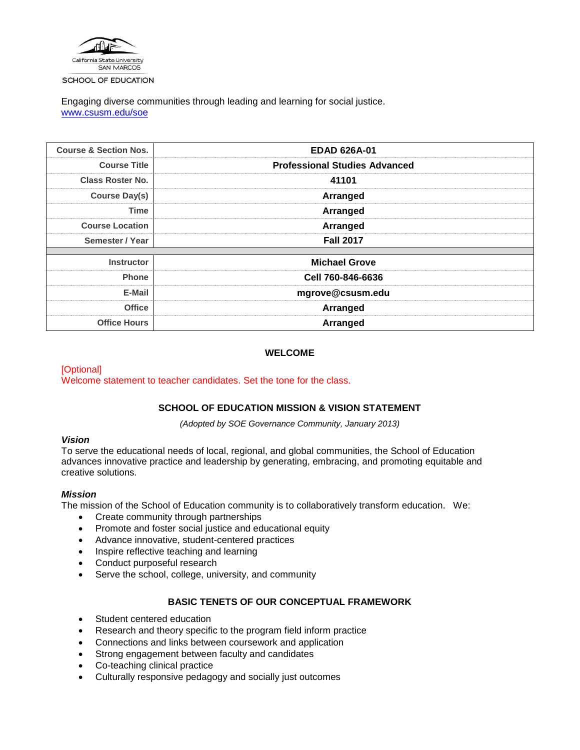

SCHOOL OF EDUCATION

Engaging diverse communities through leading and learning for social justice. [www.csusm.edu/soe](http://www.csusm.edu/soe)

| <b>Course &amp; Section Nos.</b> | <b>EDAD 626A-01</b>                  |  |  |  |  |
|----------------------------------|--------------------------------------|--|--|--|--|
| <b>Course Title</b>              | <b>Professional Studies Advanced</b> |  |  |  |  |
| <b>Class Roster No.</b>          | 41101                                |  |  |  |  |
| <b>Course Day(s)</b>             | Arranged                             |  |  |  |  |
| <b>Time</b>                      | Arranged                             |  |  |  |  |
| <b>Course Location</b>           | Arranged                             |  |  |  |  |
| Semester / Year                  | <b>Fall 2017</b>                     |  |  |  |  |
|                                  |                                      |  |  |  |  |
| <b>Instructor</b>                | <b>Michael Grove</b>                 |  |  |  |  |
| <b>Phone</b>                     | Cell 760-846-6636                    |  |  |  |  |
| E-Mail                           | mgrove@csusm.edu                     |  |  |  |  |
| <b>Office</b>                    | Arranged                             |  |  |  |  |
| <b>Office Hours</b>              | Arranged                             |  |  |  |  |

## **WELCOME**

[Optional] Welcome statement to teacher candidates. Set the tone for the class.

# **SCHOOL OF EDUCATION MISSION & VISION STATEMENT**

*(Adopted by SOE Governance Community, January 2013)*

### *Vision*

To serve the educational needs of local, regional, and global communities, the School of Education advances innovative practice and leadership by generating, embracing, and promoting equitable and creative solutions.

### *Mission*

The mission of the School of Education community is to collaboratively transform education. We:

- Create community through partnerships
- Promote and foster social justice and educational equity
- Advance innovative, student-centered practices
- Inspire reflective teaching and learning
- Conduct purposeful research
- Serve the school, college, university, and community

# **BASIC TENETS OF OUR CONCEPTUAL FRAMEWORK**

- Student centered education
- Research and theory specific to the program field inform practice
- Connections and links between coursework and application
- Strong engagement between faculty and candidates
- Co-teaching clinical practice
- Culturally responsive pedagogy and socially just outcomes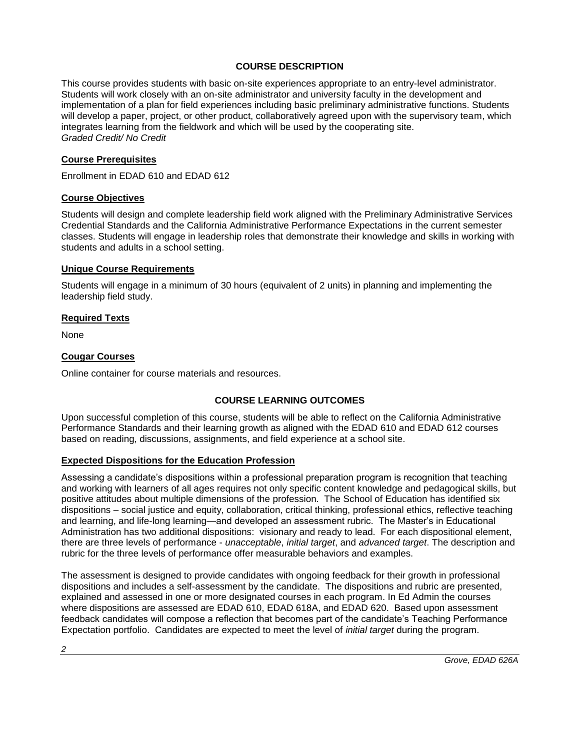# **COURSE DESCRIPTION**

This course provides students with basic on-site experiences appropriate to an entry-level administrator. Students will work closely with an on-site administrator and university faculty in the development and implementation of a plan for field experiences including basic preliminary administrative functions. Students will develop a paper, project, or other product, collaboratively agreed upon with the supervisory team, which integrates learning from the fieldwork and which will be used by the cooperating site. *Graded Credit/ No Credit*

## **Course Prerequisites**

Enrollment in EDAD 610 and EDAD 612

## **Course Objectives**

Students will design and complete leadership field work aligned with the Preliminary Administrative Services Credential Standards and the California Administrative Performance Expectations in the current semester classes. Students will engage in leadership roles that demonstrate their knowledge and skills in working with students and adults in a school setting.

## **Unique Course Requirements**

Students will engage in a minimum of 30 hours (equivalent of 2 units) in planning and implementing the leadership field study.

## **Required Texts**

None

## **Cougar Courses**

Online container for course materials and resources.

# **COURSE LEARNING OUTCOMES**

Upon successful completion of this course, students will be able to reflect on the California Administrative Performance Standards and their learning growth as aligned with the EDAD 610 and EDAD 612 courses based on reading, discussions, assignments, and field experience at a school site.

### **Expected Dispositions for the Education Profession**

Assessing a candidate's dispositions within a professional preparation program is recognition that teaching and working with learners of all ages requires not only specific content knowledge and pedagogical skills, but positive attitudes about multiple dimensions of the profession. The School of Education has identified six dispositions – social justice and equity, collaboration, critical thinking, professional ethics, reflective teaching and learning, and life-long learning—and developed an assessment rubric. The Master's in Educational Administration has two additional dispositions: visionary and ready to lead. For each dispositional element, there are three levels of performance - *unacceptable*, *initial target*, and *advanced target*. The description and rubric for the three levels of performance offer measurable behaviors and examples.

The assessment is designed to provide candidates with ongoing feedback for their growth in professional dispositions and includes a self-assessment by the candidate. The dispositions and rubric are presented, explained and assessed in one or more designated courses in each program. In Ed Admin the courses where dispositions are assessed are EDAD 610, EDAD 618A, and EDAD 620. Based upon assessment feedback candidates will compose a reflection that becomes part of the candidate's Teaching Performance Expectation portfolio. Candidates are expected to meet the level of *initial target* during the program.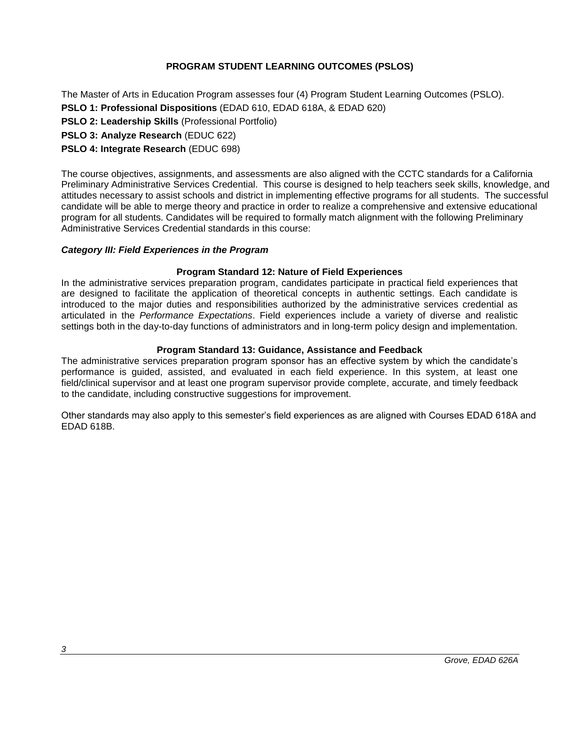# **PROGRAM STUDENT LEARNING OUTCOMES (PSLOS)**

The Master of Arts in Education Program assesses four (4) Program Student Learning Outcomes (PSLO).

**PSLO 1: Professional Dispositions** (EDAD 610, EDAD 618A, & EDAD 620)

**PSLO 2: Leadership Skills** (Professional Portfolio)

**PSLO 3: Analyze Research** (EDUC 622)

# **PSLO 4: Integrate Research** (EDUC 698)

The course objectives, assignments, and assessments are also aligned with the CCTC standards for a California Preliminary Administrative Services Credential. This course is designed to help teachers seek skills, knowledge, and attitudes necessary to assist schools and district in implementing effective programs for all students. The successful candidate will be able to merge theory and practice in order to realize a comprehensive and extensive educational program for all students. Candidates will be required to formally match alignment with the following Preliminary Administrative Services Credential standards in this course:

# *Category III: Field Experiences in the Program*

## **Program Standard 12: Nature of Field Experiences**

In the administrative services preparation program, candidates participate in practical field experiences that are designed to facilitate the application of theoretical concepts in authentic settings. Each candidate is introduced to the major duties and responsibilities authorized by the administrative services credential as articulated in the *Performance Expectations*. Field experiences include a variety of diverse and realistic settings both in the day-to-day functions of administrators and in long-term policy design and implementation.

## **Program Standard 13: Guidance, Assistance and Feedback**

The administrative services preparation program sponsor has an effective system by which the candidate's performance is guided, assisted, and evaluated in each field experience. In this system, at least one field/clinical supervisor and at least one program supervisor provide complete, accurate, and timely feedback to the candidate, including constructive suggestions for improvement.

Other standards may also apply to this semester's field experiences as are aligned with Courses EDAD 618A and EDAD 618B.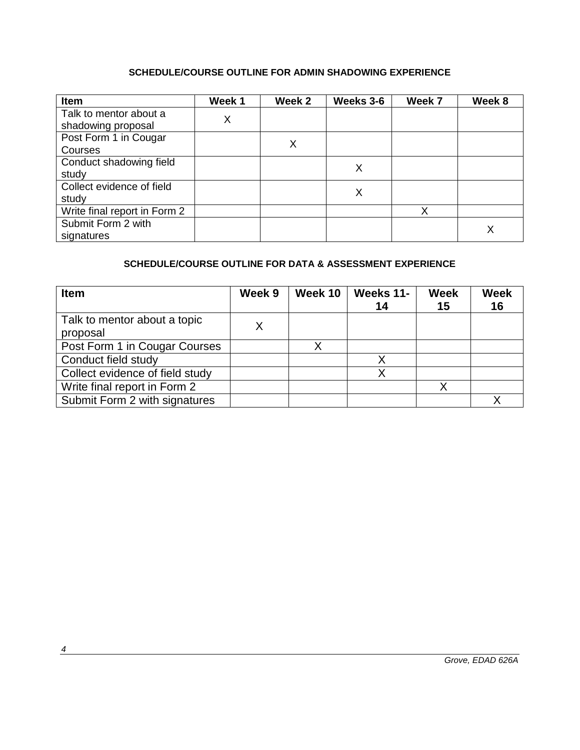# **SCHEDULE/COURSE OUTLINE FOR ADMIN SHADOWING EXPERIENCE**

| Item                         | Week 1 | Week 2 | Weeks 3-6 | Week 7 | Week 8 |
|------------------------------|--------|--------|-----------|--------|--------|
| Talk to mentor about a       | X      |        |           |        |        |
| shadowing proposal           |        |        |           |        |        |
| Post Form 1 in Cougar        |        | X      |           |        |        |
| Courses                      |        |        |           |        |        |
| Conduct shadowing field      |        |        |           |        |        |
| study                        |        |        | Х         |        |        |
| Collect evidence of field    |        |        | X         |        |        |
| study                        |        |        |           |        |        |
| Write final report in Form 2 |        |        |           | x      |        |
| Submit Form 2 with           |        |        |           |        |        |
| signatures                   |        |        |           |        |        |

# **SCHEDULE/COURSE OUTLINE FOR DATA & ASSESSMENT EXPERIENCE**

| <b>Item</b>                     | Week 9 | Week 10 | Weeks 11- | <b>Week</b> | <b>Week</b> |
|---------------------------------|--------|---------|-----------|-------------|-------------|
|                                 |        |         | 14        | 15          | 16          |
| Talk to mentor about a topic    |        |         |           |             |             |
| proposal                        | Χ      |         |           |             |             |
| Post Form 1 in Cougar Courses   |        |         |           |             |             |
| Conduct field study             |        |         |           |             |             |
| Collect evidence of field study |        |         |           |             |             |
| Write final report in Form 2    |        |         |           |             |             |
| Submit Form 2 with signatures   |        |         |           |             |             |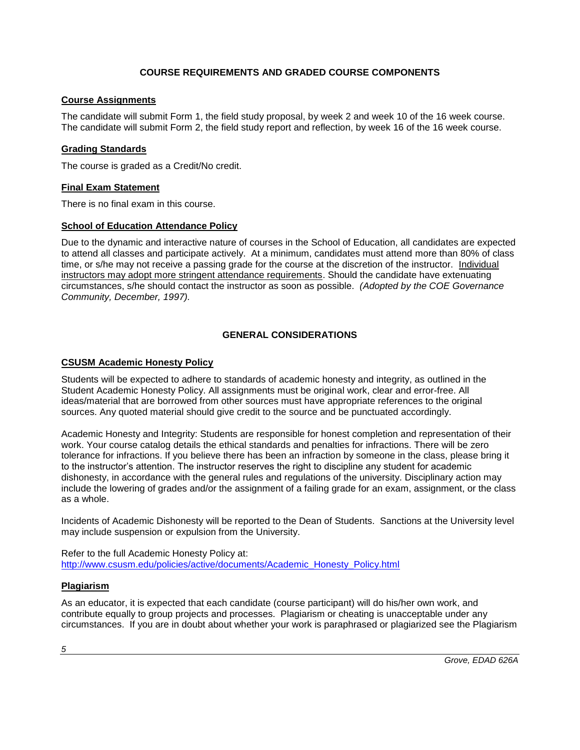# **COURSE REQUIREMENTS AND GRADED COURSE COMPONENTS**

# **Course Assignments**

The candidate will submit Form 1, the field study proposal, by week 2 and week 10 of the 16 week course. The candidate will submit Form 2, the field study report and reflection, by week 16 of the 16 week course.

## **Grading Standards**

The course is graded as a Credit/No credit.

## **Final Exam Statement**

There is no final exam in this course.

## **School of Education Attendance Policy**

Due to the dynamic and interactive nature of courses in the School of Education, all candidates are expected to attend all classes and participate actively. At a minimum, candidates must attend more than 80% of class time, or s/he may not receive a passing grade for the course at the discretion of the instructor. Individual instructors may adopt more stringent attendance requirements. Should the candidate have extenuating circumstances, s/he should contact the instructor as soon as possible. *(Adopted by the COE Governance Community, December, 1997).*

# **GENERAL CONSIDERATIONS**

# **CSUSM Academic Honesty Policy**

Students will be expected to adhere to standards of academic honesty and integrity, as outlined in the Student Academic Honesty Policy. All assignments must be original work, clear and error-free. All ideas/material that are borrowed from other sources must have appropriate references to the original sources. Any quoted material should give credit to the source and be punctuated accordingly.

Academic Honesty and Integrity: Students are responsible for honest completion and representation of their work. Your course catalog details the ethical standards and penalties for infractions. There will be zero tolerance for infractions. If you believe there has been an infraction by someone in the class, please bring it to the instructor's attention. The instructor reserves the right to discipline any student for academic dishonesty, in accordance with the general rules and regulations of the university. Disciplinary action may include the lowering of grades and/or the assignment of a failing grade for an exam, assignment, or the class as a whole.

Incidents of Academic Dishonesty will be reported to the Dean of Students. Sanctions at the University level may include suspension or expulsion from the University.

Refer to the full Academic Honesty Policy at: [http://www.csusm.edu/policies/active/documents/Academic\\_Honesty\\_Policy.html](http://www.csusm.edu/policies/active/documents/Academic_Honesty_Policy.html)

### **Plagiarism**

As an educator, it is expected that each candidate (course participant) will do his/her own work, and contribute equally to group projects and processes. Plagiarism or cheating is unacceptable under any circumstances. If you are in doubt about whether your work is paraphrased or plagiarized see the Plagiarism